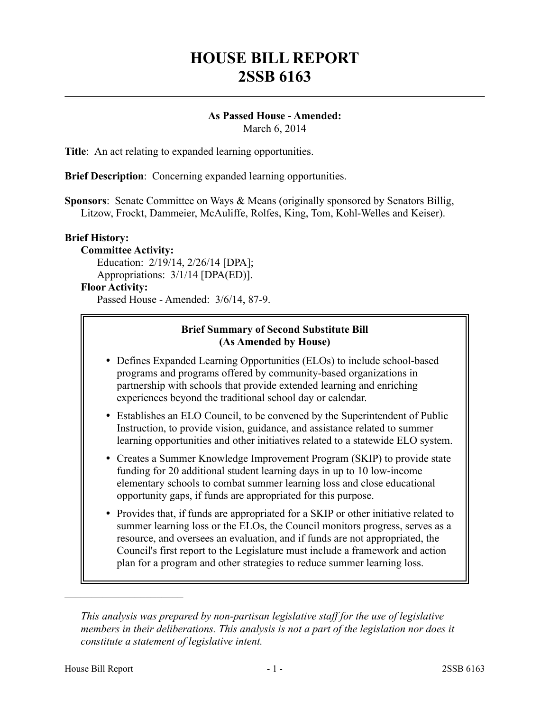# **HOUSE BILL REPORT 2SSB 6163**

#### **As Passed House - Amended:** March 6, 2014

**Title**: An act relating to expanded learning opportunities.

**Brief Description**: Concerning expanded learning opportunities.

**Sponsors**: Senate Committee on Ways & Means (originally sponsored by Senators Billig, Litzow, Frockt, Dammeier, McAuliffe, Rolfes, King, Tom, Kohl-Welles and Keiser).

## **Brief History:**

**Committee Activity:** Education: 2/19/14, 2/26/14 [DPA]; Appropriations: 3/1/14 [DPA(ED)].

# **Floor Activity:**

Passed House - Amended: 3/6/14, 87-9.

## **Brief Summary of Second Substitute Bill (As Amended by House)**

- Defines Expanded Learning Opportunities (ELOs) to include school-based programs and programs offered by community-based organizations in partnership with schools that provide extended learning and enriching experiences beyond the traditional school day or calendar.
- Establishes an ELO Council, to be convened by the Superintendent of Public Instruction, to provide vision, guidance, and assistance related to summer learning opportunities and other initiatives related to a statewide ELO system.
- Creates a Summer Knowledge Improvement Program (SKIP) to provide state funding for 20 additional student learning days in up to 10 low-income elementary schools to combat summer learning loss and close educational opportunity gaps, if funds are appropriated for this purpose.
- Provides that, if funds are appropriated for a SKIP or other initiative related to summer learning loss or the ELOs, the Council monitors progress, serves as a resource, and oversees an evaluation, and if funds are not appropriated, the Council's first report to the Legislature must include a framework and action plan for a program and other strategies to reduce summer learning loss.

––––––––––––––––––––––

*This analysis was prepared by non-partisan legislative staff for the use of legislative members in their deliberations. This analysis is not a part of the legislation nor does it constitute a statement of legislative intent.*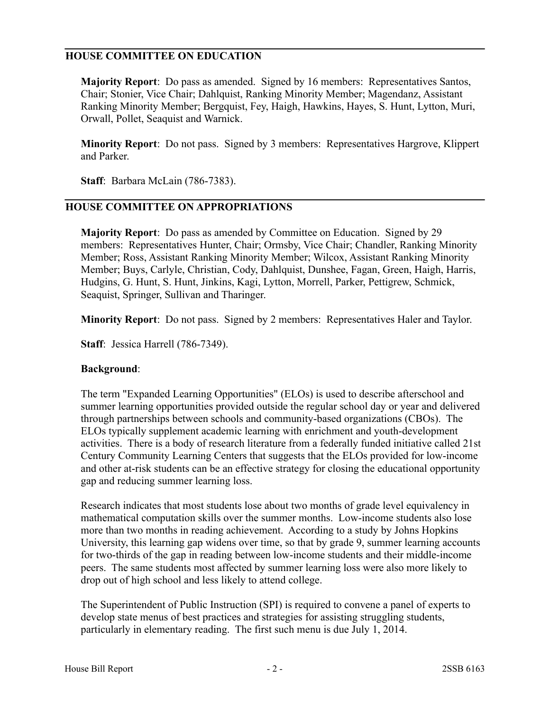## **HOUSE COMMITTEE ON EDUCATION**

**Majority Report**: Do pass as amended. Signed by 16 members: Representatives Santos, Chair; Stonier, Vice Chair; Dahlquist, Ranking Minority Member; Magendanz, Assistant Ranking Minority Member; Bergquist, Fey, Haigh, Hawkins, Hayes, S. Hunt, Lytton, Muri, Orwall, Pollet, Seaquist and Warnick.

**Minority Report**: Do not pass. Signed by 3 members: Representatives Hargrove, Klippert and Parker.

**Staff**: Barbara McLain (786-7383).

### **HOUSE COMMITTEE ON APPROPRIATIONS**

**Majority Report**: Do pass as amended by Committee on Education. Signed by 29 members: Representatives Hunter, Chair; Ormsby, Vice Chair; Chandler, Ranking Minority Member; Ross, Assistant Ranking Minority Member; Wilcox, Assistant Ranking Minority Member; Buys, Carlyle, Christian, Cody, Dahlquist, Dunshee, Fagan, Green, Haigh, Harris, Hudgins, G. Hunt, S. Hunt, Jinkins, Kagi, Lytton, Morrell, Parker, Pettigrew, Schmick, Seaquist, Springer, Sullivan and Tharinger.

**Minority Report**: Do not pass. Signed by 2 members: Representatives Haler and Taylor.

**Staff**: Jessica Harrell (786-7349).

#### **Background**:

The term "Expanded Learning Opportunities" (ELOs) is used to describe afterschool and summer learning opportunities provided outside the regular school day or year and delivered through partnerships between schools and community-based organizations (CBOs). The ELOs typically supplement academic learning with enrichment and youth-development activities. There is a body of research literature from a federally funded initiative called 21st Century Community Learning Centers that suggests that the ELOs provided for low-income and other at-risk students can be an effective strategy for closing the educational opportunity gap and reducing summer learning loss.

Research indicates that most students lose about two months of grade level equivalency in mathematical computation skills over the summer months. Low-income students also lose more than two months in reading achievement. According to a study by Johns Hopkins University, this learning gap widens over time, so that by grade 9, summer learning accounts for two-thirds of the gap in reading between low-income students and their middle-income peers. The same students most affected by summer learning loss were also more likely to drop out of high school and less likely to attend college.

The Superintendent of Public Instruction (SPI) is required to convene a panel of experts to develop state menus of best practices and strategies for assisting struggling students, particularly in elementary reading. The first such menu is due July 1, 2014.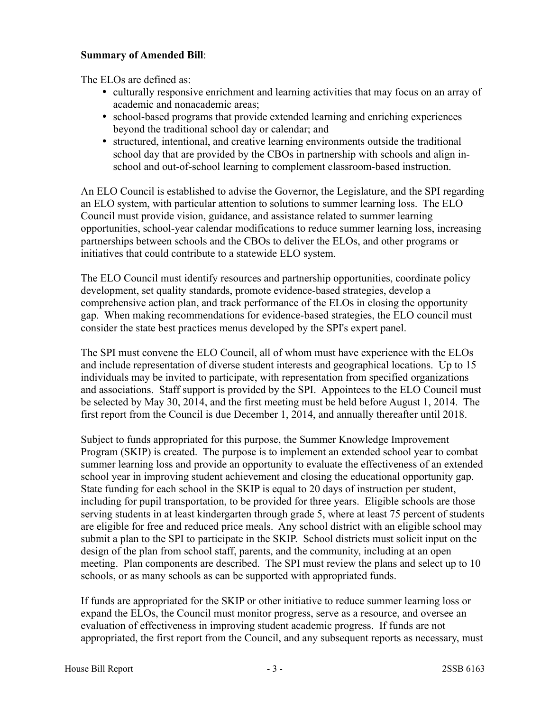## **Summary of Amended Bill**:

The ELOs are defined as:

- culturally responsive enrichment and learning activities that may focus on an array of academic and nonacademic areas;
- school-based programs that provide extended learning and enriching experiences beyond the traditional school day or calendar; and
- structured, intentional, and creative learning environments outside the traditional school day that are provided by the CBOs in partnership with schools and align inschool and out-of-school learning to complement classroom-based instruction.

An ELO Council is established to advise the Governor, the Legislature, and the SPI regarding an ELO system, with particular attention to solutions to summer learning loss. The ELO Council must provide vision, guidance, and assistance related to summer learning opportunities, school-year calendar modifications to reduce summer learning loss, increasing partnerships between schools and the CBOs to deliver the ELOs, and other programs or initiatives that could contribute to a statewide ELO system.

The ELO Council must identify resources and partnership opportunities, coordinate policy development, set quality standards, promote evidence-based strategies, develop a comprehensive action plan, and track performance of the ELOs in closing the opportunity gap. When making recommendations for evidence-based strategies, the ELO council must consider the state best practices menus developed by the SPI's expert panel.

The SPI must convene the ELO Council, all of whom must have experience with the ELOs and include representation of diverse student interests and geographical locations. Up to 15 individuals may be invited to participate, with representation from specified organizations and associations. Staff support is provided by the SPI. Appointees to the ELO Council must be selected by May 30, 2014, and the first meeting must be held before August 1, 2014. The first report from the Council is due December 1, 2014, and annually thereafter until 2018.

Subject to funds appropriated for this purpose, the Summer Knowledge Improvement Program (SKIP) is created. The purpose is to implement an extended school year to combat summer learning loss and provide an opportunity to evaluate the effectiveness of an extended school year in improving student achievement and closing the educational opportunity gap. State funding for each school in the SKIP is equal to 20 days of instruction per student, including for pupil transportation, to be provided for three years. Eligible schools are those serving students in at least kindergarten through grade 5, where at least 75 percent of students are eligible for free and reduced price meals. Any school district with an eligible school may submit a plan to the SPI to participate in the SKIP. School districts must solicit input on the design of the plan from school staff, parents, and the community, including at an open meeting. Plan components are described. The SPI must review the plans and select up to 10 schools, or as many schools as can be supported with appropriated funds.

If funds are appropriated for the SKIP or other initiative to reduce summer learning loss or expand the ELOs, the Council must monitor progress, serve as a resource, and oversee an evaluation of effectiveness in improving student academic progress. If funds are not appropriated, the first report from the Council, and any subsequent reports as necessary, must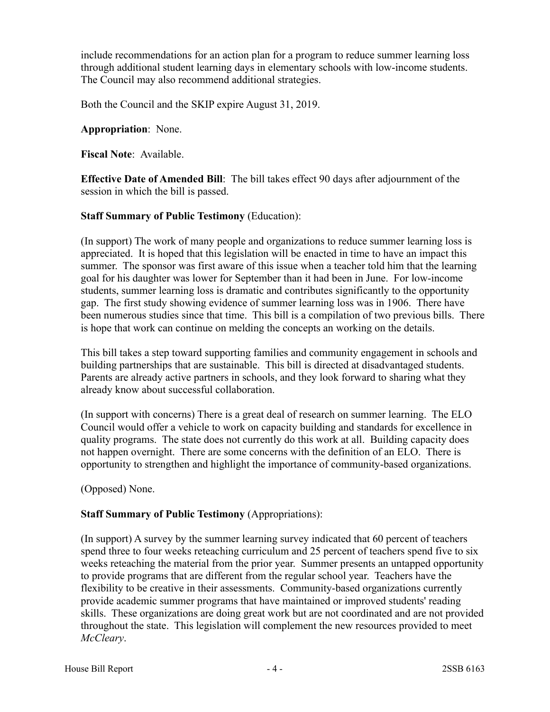include recommendations for an action plan for a program to reduce summer learning loss through additional student learning days in elementary schools with low-income students. The Council may also recommend additional strategies.

Both the Council and the SKIP expire August 31, 2019.

### **Appropriation**: None.

**Fiscal Note**: Available.

**Effective Date of Amended Bill**: The bill takes effect 90 days after adjournment of the session in which the bill is passed.

## **Staff Summary of Public Testimony** (Education):

(In support) The work of many people and organizations to reduce summer learning loss is appreciated. It is hoped that this legislation will be enacted in time to have an impact this summer. The sponsor was first aware of this issue when a teacher told him that the learning goal for his daughter was lower for September than it had been in June. For low-income students, summer learning loss is dramatic and contributes significantly to the opportunity gap. The first study showing evidence of summer learning loss was in 1906. There have been numerous studies since that time. This bill is a compilation of two previous bills. There is hope that work can continue on melding the concepts an working on the details.

This bill takes a step toward supporting families and community engagement in schools and building partnerships that are sustainable. This bill is directed at disadvantaged students. Parents are already active partners in schools, and they look forward to sharing what they already know about successful collaboration.

(In support with concerns) There is a great deal of research on summer learning. The ELO Council would offer a vehicle to work on capacity building and standards for excellence in quality programs. The state does not currently do this work at all. Building capacity does not happen overnight. There are some concerns with the definition of an ELO. There is opportunity to strengthen and highlight the importance of community-based organizations.

(Opposed) None.

## **Staff Summary of Public Testimony** (Appropriations):

(In support) A survey by the summer learning survey indicated that 60 percent of teachers spend three to four weeks reteaching curriculum and 25 percent of teachers spend five to six weeks reteaching the material from the prior year. Summer presents an untapped opportunity to provide programs that are different from the regular school year. Teachers have the flexibility to be creative in their assessments. Community-based organizations currently provide academic summer programs that have maintained or improved students' reading skills. These organizations are doing great work but are not coordinated and are not provided throughout the state. This legislation will complement the new resources provided to meet *McCleary*.